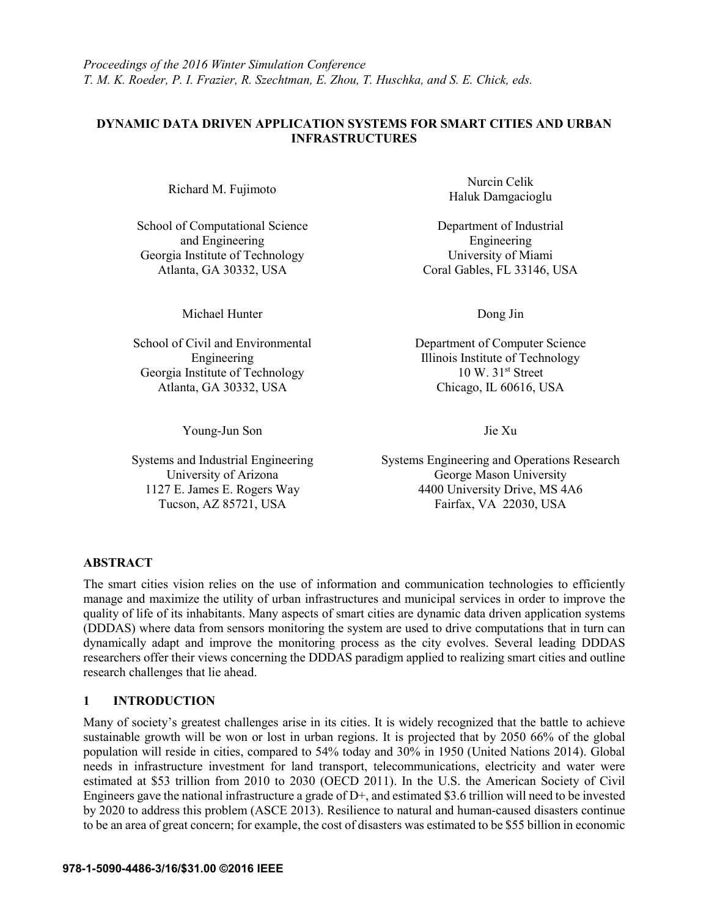# **DYNAMIC DATA DRIVEN APPLICATION SYSTEMS FOR SMART CITIES AND URBAN INFRASTRUCTURES**

School of Computational Science Department of Industrial and Engineering Georgia Institute of Technology

Michael Hunter Dong Jin

School of Civil and Environmental Department of Computer Science Engineering Georgia Institute of Technology Atlanta, GA 30332, USA Chicago, IL 60616, USA

Young-Jun Son Jie Xu

University of Arizona 1127 E. James E. Rogers Way

Richard M. Fujimoto Nurcin Celik Haluk Damgacioglu

Engineering University of Miami Atlanta, GA 30332, USA Coral Gables, FL 33146, USA

Illinois Institute of Technology  $10 \text{ W}$ .  $31^{\text{st}}$  Street

Systems and Industrial Engineering Systems Engineering and Operations Research George Mason University 4400 University Drive, MS 4A6 Tucson, AZ 85721, USA Fairfax, VA 22030, USA

# **ABSTRACT**

The smart cities vision relies on the use of information and communication technologies to efficiently manage and maximize the utility of urban infrastructures and municipal services in order to improve the quality of life of its inhabitants. Many aspects of smart cities are dynamic data driven application systems (DDDAS) where data from sensors monitoring the system are used to drive computations that in turn can dynamically adapt and improve the monitoring process as the city evolves. Several leading DDDAS researchers offer their views concerning the DDDAS paradigm applied to realizing smart cities and outline research challenges that lie ahead.

# **1 INTRODUCTION**

Many of society's greatest challenges arise in its cities. It is widely recognized that the battle to achieve sustainable growth will be won or lost in urban regions. It is projected that by 2050 66% of the global population will reside in cities, compared to 54% today and 30% in 1950 (United Nations 2014). Global needs in infrastructure investment for land transport, telecommunications, electricity and water were estimated at \$53 trillion from 2010 to 2030 (OECD 2011). In the U.S. the American Society of Civil Engineers gave the national infrastructure a grade of D+, and estimated \$3.6 trillion will need to be invested by 2020 to address this problem (ASCE 2013). Resilience to natural and human-caused disasters continue to be an area of great concern; for example, the cost of disasters was estimated to be \$55 billion in economic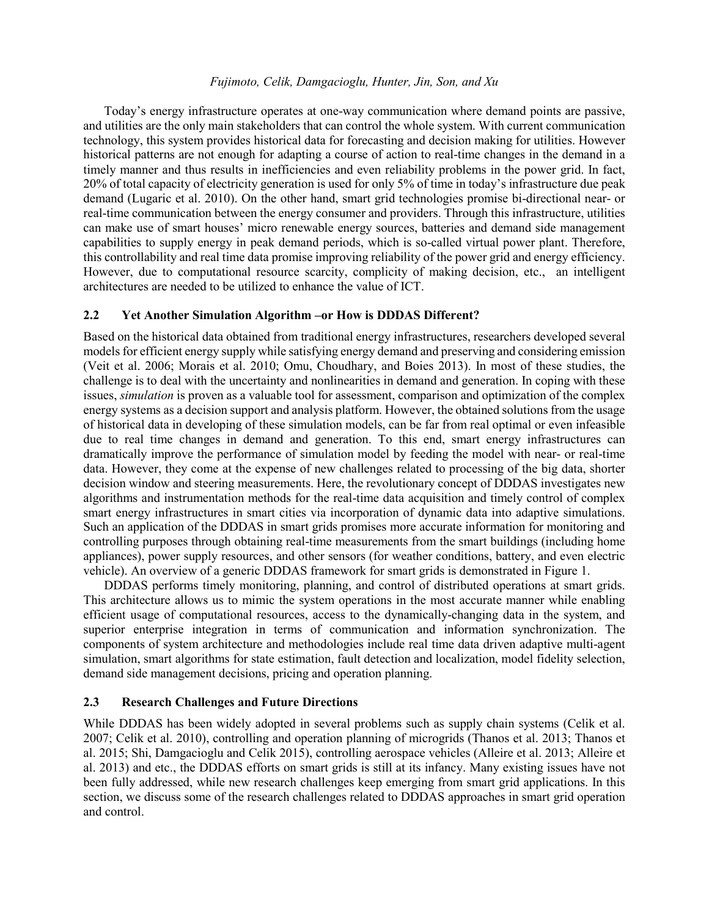Today's energy infrastructure operates at one-way communication where demand points are passive, and utilities are the only main stakeholders that can control the whole system. With current communication technology, this system provides historical data for forecasting and decision making for utilities. However historical patterns are not enough for adapting a course of action to real-time changes in the demand in a timely manner and thus results in inefficiencies and even reliability problems in the power grid. In fact, 20% of total capacity of electricity generation is used for only 5% of time in today's infrastructure due peak demand (Lugaric et al. 2010). On the other hand, smart grid technologies promise bi-directional near- or real-time communication between the energy consumer and providers. Through this infrastructure, utilities can make use of smart houses' micro renewable energy sources, batteries and demand side management capabilities to supply energy in peak demand periods, which is so-called virtual power plant. Therefore, this controllability and real time data promise improving reliability of the power grid and energy efficiency. However, due to computational resource scarcity, complicity of making decision, etc., an intelligent architectures are needed to be utilized to enhance the value of ICT.

# **2.2 Yet Another Simulation Algorithm –or How is DDDAS Different?**

Based on the historical data obtained from traditional energy infrastructures, researchers developed several models for efficient energy supply while satisfying energy demand and preserving and considering emission (Veit et al. 2006; Morais et al. 2010; Omu, Choudhary, and Boies 2013). In most of these studies, the challenge is to deal with the uncertainty and nonlinearities in demand and generation. In coping with these issues, *simulation* is proven as a valuable tool for assessment, comparison and optimization of the complex energy systems as a decision support and analysis platform. However, the obtained solutions from the usage of historical data in developing of these simulation models, can be far from real optimal or even infeasible due to real time changes in demand and generation. To this end, smart energy infrastructures can dramatically improve the performance of simulation model by feeding the model with near- or real-time data. However, they come at the expense of new challenges related to processing of the big data, shorter decision window and steering measurements. Here, the revolutionary concept of DDDAS investigates new algorithms and instrumentation methods for the real-time data acquisition and timely control of complex smart energy infrastructures in smart cities via incorporation of dynamic data into adaptive simulations. Such an application of the DDDAS in smart grids promises more accurate information for monitoring and controlling purposes through obtaining real-time measurements from the smart buildings (including home appliances), power supply resources, and other sensors (for weather conditions, battery, and even electric vehicle). An overview of a generic DDDAS framework for smart grids is demonstrated in Figure 1.

DDDAS performs timely monitoring, planning, and control of distributed operations at smart grids. This architecture allows us to mimic the system operations in the most accurate manner while enabling efficient usage of computational resources, access to the dynamically-changing data in the system, and superior enterprise integration in terms of communication and information synchronization. The components of system architecture and methodologies include real time data driven adaptive multi-agent simulation, smart algorithms for state estimation, fault detection and localization, model fidelity selection, demand side management decisions, pricing and operation planning.

### **2.3 Research Challenges and Future Directions**

While DDDAS has been widely adopted in several problems such as supply chain systems (Celik et al. 2007; Celik et al. 2010), controlling and operation planning of microgrids (Thanos et al. 2013; Thanos et al. 2015; Shi, Damgacioglu and Celik 2015), controlling aerospace vehicles (Alleire et al. 2013; Alleire et al. 2013) and etc., the DDDAS efforts on smart grids is still at its infancy. Many existing issues have not been fully addressed, while new research challenges keep emerging from smart grid applications. In this section, we discuss some of the research challenges related to DDDAS approaches in smart grid operation and control.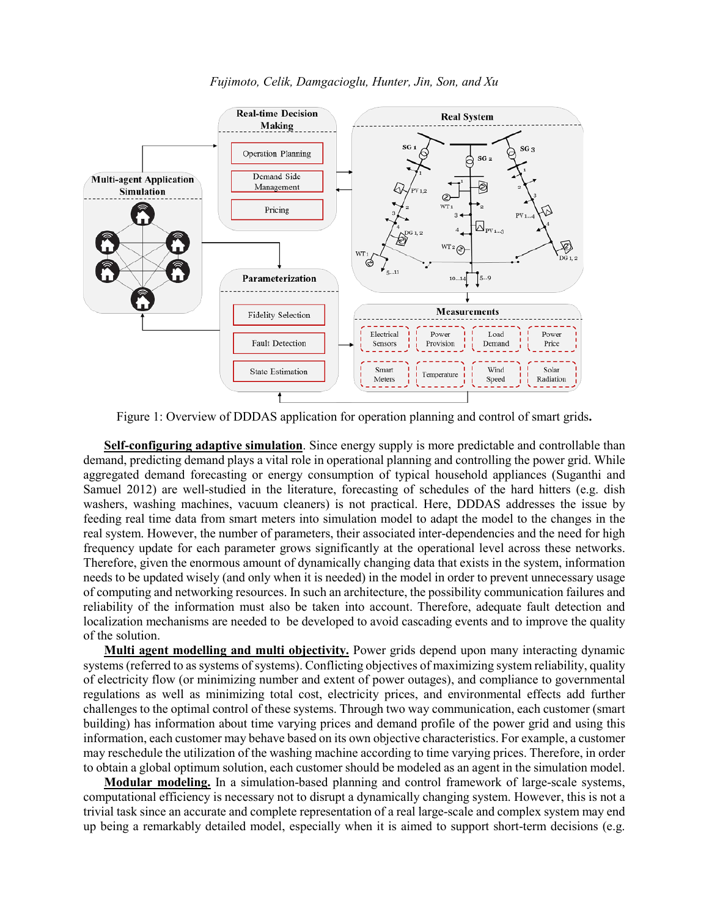

*Fujimoto, Celik, Damgacioglu, Hunter, Jin, Son, and Xu*

Figure 1: Overview of DDDAS application for operation planning and control of smart grids**.**

**Self-configuring adaptive simulation**. Since energy supply is more predictable and controllable than demand, predicting demand plays a vital role in operational planning and controlling the power grid. While aggregated demand forecasting or energy consumption of typical household appliances (Suganthi and Samuel 2012) are well-studied in the literature, forecasting of schedules of the hard hitters (e.g. dish washers, washing machines, vacuum cleaners) is not practical. Here, DDDAS addresses the issue by feeding real time data from smart meters into simulation model to adapt the model to the changes in the real system. However, the number of parameters, their associated inter-dependencies and the need for high frequency update for each parameter grows significantly at the operational level across these networks. Therefore, given the enormous amount of dynamically changing data that exists in the system, information needs to be updated wisely (and only when it is needed) in the model in order to prevent unnecessary usage of computing and networking resources. In such an architecture, the possibility communication failures and reliability of the information must also be taken into account. Therefore, adequate fault detection and localization mechanisms are needed to be developed to avoid cascading events and to improve the quality of the solution.

**Multi agent modelling and multi objectivity.** Power grids depend upon many interacting dynamic systems (referred to as systems of systems). Conflicting objectives of maximizing system reliability, quality of electricity flow (or minimizing number and extent of power outages), and compliance to governmental regulations as well as minimizing total cost, electricity prices, and environmental effects add further challenges to the optimal control of these systems. Through two way communication, each customer (smart building) has information about time varying prices and demand profile of the power grid and using this information, each customer may behave based on its own objective characteristics. For example, a customer may reschedule the utilization of the washing machine according to time varying prices. Therefore, in order to obtain a global optimum solution, each customer should be modeled as an agent in the simulation model.

**Modular modeling.** In a simulation-based planning and control framework of large-scale systems, computational efficiency is necessary not to disrupt a dynamically changing system. However, this is not a trivial task since an accurate and complete representation of a real large-scale and complex system may end up being a remarkably detailed model, especially when it is aimed to support short-term decisions (e.g.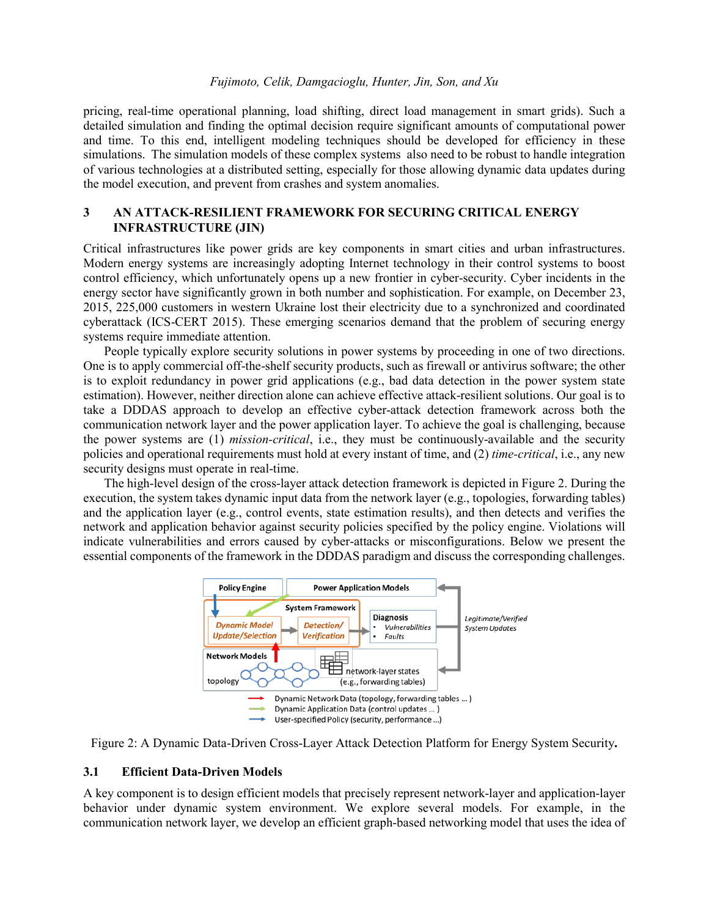pricing, real-time operational planning, load shifting, direct load management in smart grids). Such a detailed simulation and finding the optimal decision require significant amounts of computational power and time. To this end, intelligent modeling techniques should be developed for efficiency in these simulations. The simulation models of these complex systems also need to be robust to handle integration of various technologies at a distributed setting, especially for those allowing dynamic data updates during the model execution, and prevent from crashes and system anomalies.

# **3 AN ATTACK-RESILIENT FRAMEWORK FOR SECURING CRITICAL ENERGY INFRASTRUCTURE (JIN)**

Critical infrastructures like power grids are key components in smart cities and urban infrastructures. Modern energy systems are increasingly adopting Internet technology in their control systems to boost control efficiency, which unfortunately opens up a new frontier in cyber-security. Cyber incidents in the energy sector have significantly grown in both number and sophistication. For example, on December 23, 2015, 225,000 customers in western Ukraine lost their electricity due to a synchronized and coordinated cyberattack (ICS-CERT 2015). These emerging scenarios demand that the problem of securing energy systems require immediate attention.

People typically explore security solutions in power systems by proceeding in one of two directions. One is to apply commercial off-the-shelf security products, such as firewall or antivirus software; the other is to exploit redundancy in power grid applications (e.g., bad data detection in the power system state estimation). However, neither direction alone can achieve effective attack-resilient solutions. Our goal is to take a DDDAS approach to develop an effective cyber-attack detection framework across both the communication network layer and the power application layer. To achieve the goal is challenging, because the power systems are (1) *mission-critical*, i.e., they must be continuously-available and the security policies and operational requirements must hold at every instant of time, and (2) *time-critical*, i.e., any new security designs must operate in real-time.

The high-level design of the cross-layer attack detection framework is depicted in Figure 2. During the execution, the system takes dynamic input data from the network layer (e.g., topologies, forwarding tables) and the application layer (e.g., control events, state estimation results), and then detects and verifies the network and application behavior against security policies specified by the policy engine. Violations will indicate vulnerabilities and errors caused by cyber-attacks or misconfigurations. Below we present the essential components of the framework in the DDDAS paradigm and discuss the corresponding challenges.





### **3.1 Efficient Data-Driven Models**

A key component is to design efficient models that precisely represent network-layer and application-layer behavior under dynamic system environment. We explore several models. For example, in the communication network layer, we develop an efficient graph-based networking model that uses the idea of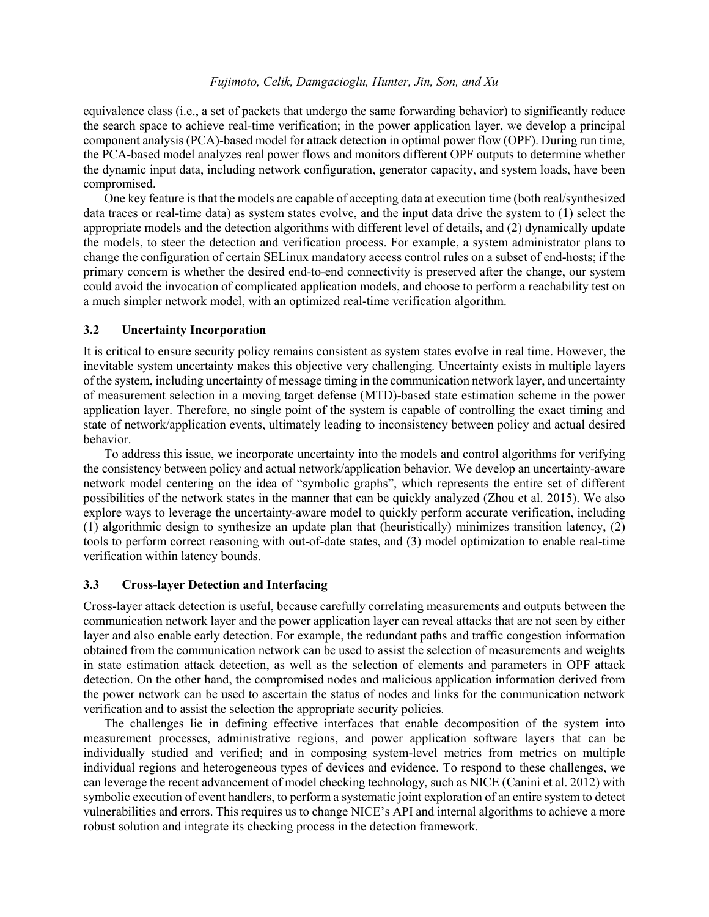equivalence class (i.e., a set of packets that undergo the same forwarding behavior) to significantly reduce the search space to achieve real-time verification; in the power application layer, we develop a principal component analysis (PCA)-based model for attack detection in optimal power flow (OPF). During run time, the PCA-based model analyzes real power flows and monitors different OPF outputs to determine whether the dynamic input data, including network configuration, generator capacity, and system loads, have been compromised.

One key feature is that the models are capable of accepting data at execution time (both real/synthesized data traces or real-time data) as system states evolve, and the input data drive the system to (1) select the appropriate models and the detection algorithms with different level of details, and (2) dynamically update the models, to steer the detection and verification process. For example, a system administrator plans to change the configuration of certain SELinux mandatory access control rules on a subset of end-hosts; if the primary concern is whether the desired end-to-end connectivity is preserved after the change, our system could avoid the invocation of complicated application models, and choose to perform a reachability test on a much simpler network model, with an optimized real-time verification algorithm.

#### **3.2 Uncertainty Incorporation**

It is critical to ensure security policy remains consistent as system states evolve in real time. However, the inevitable system uncertainty makes this objective very challenging. Uncertainty exists in multiple layers of the system, including uncertainty of message timing in the communication network layer, and uncertainty of measurement selection in a moving target defense (MTD)-based state estimation scheme in the power application layer. Therefore, no single point of the system is capable of controlling the exact timing and state of network/application events, ultimately leading to inconsistency between policy and actual desired behavior.

To address this issue, we incorporate uncertainty into the models and control algorithms for verifying the consistency between policy and actual network/application behavior. We develop an uncertainty-aware network model centering on the idea of "symbolic graphs", which represents the entire set of different possibilities of the network states in the manner that can be quickly analyzed (Zhou et al. 2015). We also explore ways to leverage the uncertainty-aware model to quickly perform accurate verification, including (1) algorithmic design to synthesize an update plan that (heuristically) minimizes transition latency, (2) tools to perform correct reasoning with out-of-date states, and (3) model optimization to enable real-time verification within latency bounds.

## **3.3 Cross-layer Detection and Interfacing**

Cross-layer attack detection is useful, because carefully correlating measurements and outputs between the communication network layer and the power application layer can reveal attacks that are not seen by either layer and also enable early detection. For example, the redundant paths and traffic congestion information obtained from the communication network can be used to assist the selection of measurements and weights in state estimation attack detection, as well as the selection of elements and parameters in OPF attack detection. On the other hand, the compromised nodes and malicious application information derived from the power network can be used to ascertain the status of nodes and links for the communication network verification and to assist the selection the appropriate security policies.

The challenges lie in defining effective interfaces that enable decomposition of the system into measurement processes, administrative regions, and power application software layers that can be individually studied and verified; and in composing system-level metrics from metrics on multiple individual regions and heterogeneous types of devices and evidence. To respond to these challenges, we can leverage the recent advancement of model checking technology, such as NICE (Canini et al. 2012) with symbolic execution of event handlers, to perform a systematic joint exploration of an entire system to detect vulnerabilities and errors. This requires us to change NICE's API and internal algorithms to achieve a more robust solution and integrate its checking process in the detection framework.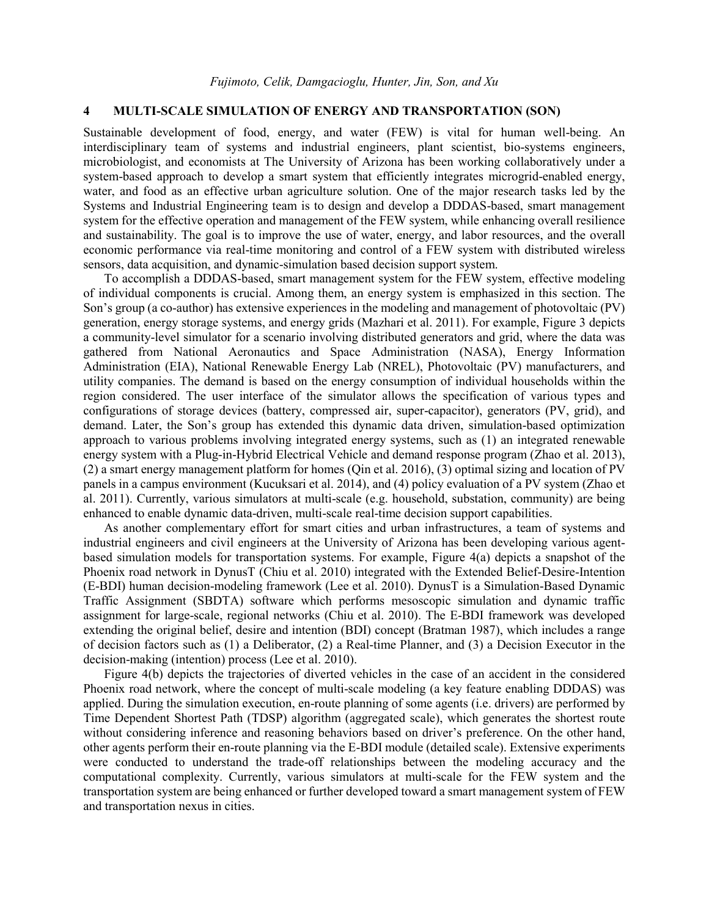## **4 MULTI-SCALE SIMULATION OF ENERGY AND TRANSPORTATION (SON)**

Sustainable development of food, energy, and water (FEW) is vital for human well-being. An interdisciplinary team of systems and industrial engineers, plant scientist, bio-systems engineers, microbiologist, and economists at The University of Arizona has been working collaboratively under a system-based approach to develop a smart system that efficiently integrates microgrid-enabled energy, water, and food as an effective urban agriculture solution. One of the major research tasks led by the Systems and Industrial Engineering team is to design and develop a DDDAS-based, smart management system for the effective operation and management of the FEW system, while enhancing overall resilience and sustainability. The goal is to improve the use of water, energy, and labor resources, and the overall economic performance via real-time monitoring and control of a FEW system with distributed wireless sensors, data acquisition, and dynamic-simulation based decision support system.

To accomplish a DDDAS-based, smart management system for the FEW system, effective modeling of individual components is crucial. Among them, an energy system is emphasized in this section. The Son's group (a co-author) has extensive experiences in the modeling and management of photovoltaic (PV) generation, energy storage systems, and energy grids (Mazhari et al. 2011). For example, Figure 3 depicts a community-level simulator for a scenario involving distributed generators and grid, where the data was gathered from National Aeronautics and Space Administration (NASA), Energy Information Administration (EIA), National Renewable Energy Lab (NREL), Photovoltaic (PV) manufacturers, and utility companies. The demand is based on the energy consumption of individual households within the region considered. The user interface of the simulator allows the specification of various types and configurations of storage devices (battery, compressed air, super-capacitor), generators (PV, grid), and demand. Later, the Son's group has extended this dynamic data driven, simulation-based optimization approach to various problems involving integrated energy systems, such as (1) an integrated renewable energy system with a Plug-in-Hybrid Electrical Vehicle and demand response program (Zhao et al. 2013), (2) a smart energy management platform for homes (Qin et al. 2016), (3) optimal sizing and location of PV panels in a campus environment (Kucuksari et al. 2014), and (4) policy evaluation of a PV system (Zhao et al. 2011). Currently, various simulators at multi-scale (e.g. household, substation, community) are being enhanced to enable dynamic data-driven, multi-scale real-time decision support capabilities.

As another complementary effort for smart cities and urban infrastructures, a team of systems and industrial engineers and civil engineers at the University of Arizona has been developing various agentbased simulation models for transportation systems. For example, Figure 4(a) depicts a snapshot of the Phoenix road network in DynusT (Chiu et al. 2010) integrated with the Extended Belief-Desire-Intention (E-BDI) human decision-modeling framework (Lee et al. 2010). DynusT is a Simulation-Based Dynamic Traffic Assignment (SBDTA) software which performs mesoscopic simulation and dynamic traffic assignment for large-scale, regional networks (Chiu et al. 2010). The E-BDI framework was developed extending the original belief, desire and intention (BDI) concept (Bratman 1987), which includes a range of decision factors such as (1) a Deliberator, (2) a Real-time Planner, and (3) a Decision Executor in the decision-making (intention) process (Lee et al. 2010).

Figure 4(b) depicts the trajectories of diverted vehicles in the case of an accident in the considered Phoenix road network, where the concept of multi-scale modeling (a key feature enabling DDDAS) was applied. During the simulation execution, en-route planning of some agents (i.e. drivers) are performed by Time Dependent Shortest Path (TDSP) algorithm (aggregated scale), which generates the shortest route without considering inference and reasoning behaviors based on driver's preference. On the other hand, other agents perform their en-route planning via the E-BDI module (detailed scale). Extensive experiments were conducted to understand the trade-off relationships between the modeling accuracy and the computational complexity. Currently, various simulators at multi-scale for the FEW system and the transportation system are being enhanced or further developed toward a smart management system of FEW and transportation nexus in cities.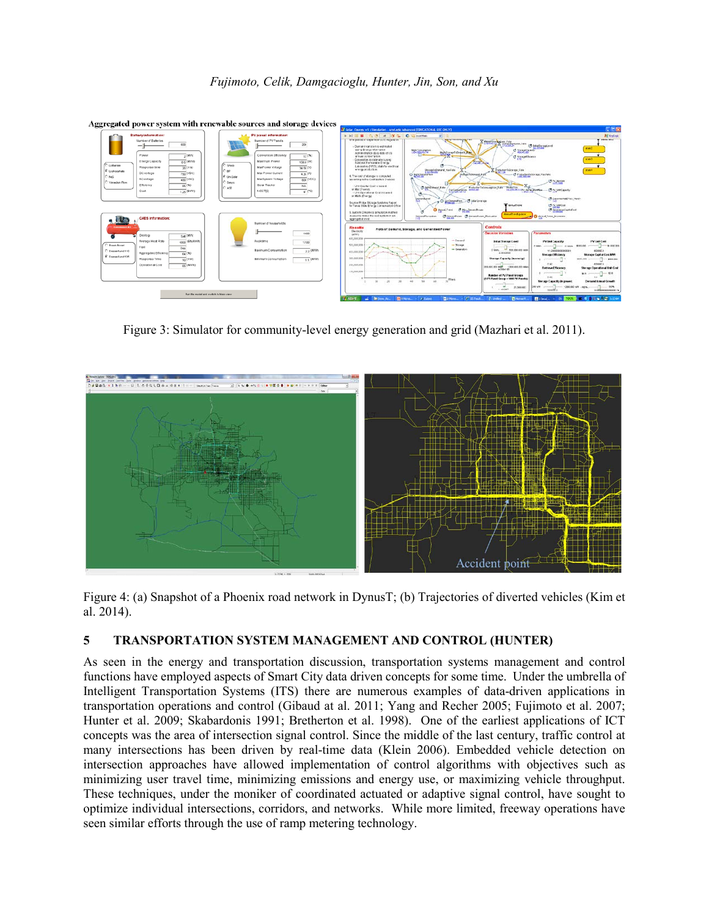

Aggregated power system with renewable sources and storage devices

Figure 3: Simulator for community-level energy generation and grid (Mazhari et al. 2011).



Figure 4: (a) Snapshot of a Phoenix road network in DynusT; (b) Trajectories of diverted vehicles (Kim et al. 2014).

### **5 TRANSPORTATION SYSTEM MANAGEMENT AND CONTROL (HUNTER)**

As seen in the energy and transportation discussion, transportation systems management and control functions have employed aspects of Smart City data driven concepts for some time. Under the umbrella of Intelligent Transportation Systems (ITS) there are numerous examples of data-driven applications in transportation operations and control (Gibaud at al. 2011; Yang and Recher 2005; Fujimoto et al. 2007; Hunter et al. 2009; Skabardonis 1991; Bretherton et al. 1998). One of the earliest applications of ICT concepts was the area of intersection signal control. Since the middle of the last century, traffic control at many intersections has been driven by real-time data (Klein 2006). Embedded vehicle detection on intersection approaches have allowed implementation of control algorithms with objectives such as minimizing user travel time, minimizing emissions and energy use, or maximizing vehicle throughput. These techniques, under the moniker of coordinated actuated or adaptive signal control, have sought to optimize individual intersections, corridors, and networks. While more limited, freeway operations have seen similar efforts through the use of ramp metering technology.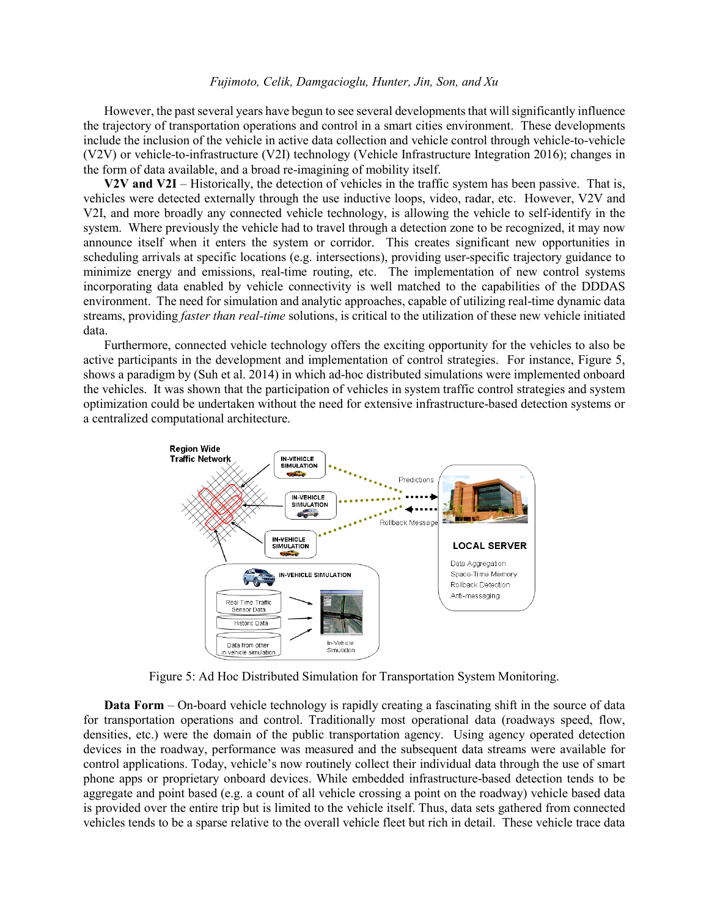However, the past several years have begun to see several developmentsthat will significantly influence the trajectory of transportation operations and control in a smart cities environment. These developments include the inclusion of the vehicle in active data collection and vehicle control through vehicle-to-vehicle (V2V) or vehicle-to-infrastructure (V2I) technology (Vehicle Infrastructure Integration 2016); changes in the form of data available, and a broad re-imagining of mobility itself.

**V2V and V2I** – Historically, the detection of vehicles in the traffic system has been passive. That is, vehicles were detected externally through the use inductive loops, video, radar, etc. However, V2V and V2I, and more broadly any connected vehicle technology, is allowing the vehicle to self-identify in the system. Where previously the vehicle had to travel through a detection zone to be recognized, it may now announce itself when it enters the system or corridor. This creates significant new opportunities in scheduling arrivals at specific locations (e.g. intersections), providing user-specific trajectory guidance to minimize energy and emissions, real-time routing, etc. The implementation of new control systems incorporating data enabled by vehicle connectivity is well matched to the capabilities of the DDDAS environment. The need for simulation and analytic approaches, capable of utilizing real-time dynamic data streams, providing *faster than real-time* solutions, is critical to the utilization of these new vehicle initiated data.

Furthermore, connected vehicle technology offers the exciting opportunity for the vehicles to also be active participants in the development and implementation of control strategies. For instance, Figure 5, shows a paradigm by (Suh et al. 2014) in which ad-hoc distributed simulations were implemented onboard the vehicles. It was shown that the participation of vehicles in system traffic control strategies and system optimization could be undertaken without the need for extensive infrastructure-based detection systems or a centralized computational architecture.



Figure 5: Ad Hoc Distributed Simulation for Transportation System Monitoring.

**Data Form** – On-board vehicle technology is rapidly creating a fascinating shift in the source of data for transportation operations and control. Traditionally most operational data (roadways speed, flow, densities, etc.) were the domain of the public transportation agency. Using agency operated detection devices in the roadway, performance was measured and the subsequent data streams were available for control applications. Today, vehicle's now routinely collect their individual data through the use of smart phone apps or proprietary onboard devices. While embedded infrastructure-based detection tends to be aggregate and point based (e.g. a count of all vehicle crossing a point on the roadway) vehicle based data is provided over the entire trip but is limited to the vehicle itself. Thus, data sets gathered from connected vehicles tends to be a sparse relative to the overall vehicle fleet but rich in detail. These vehicle trace data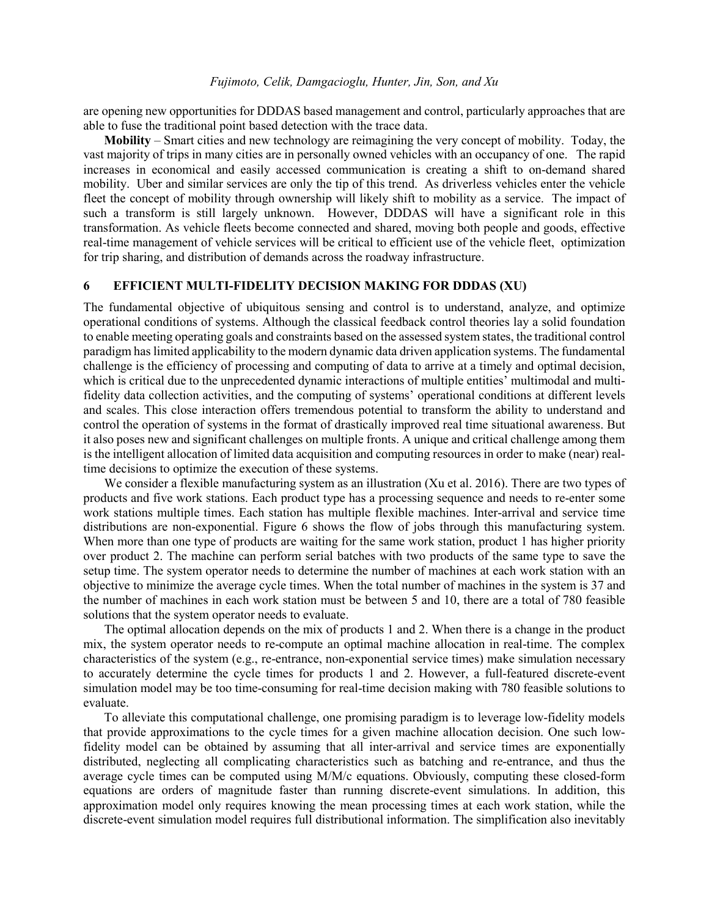are opening new opportunities for DDDAS based management and control, particularly approaches that are able to fuse the traditional point based detection with the trace data.

**Mobility** – Smart cities and new technology are reimagining the very concept of mobility. Today, the vast majority of trips in many cities are in personally owned vehicles with an occupancy of one. The rapid increases in economical and easily accessed communication is creating a shift to on-demand shared mobility. Uber and similar services are only the tip of this trend. As driverless vehicles enter the vehicle fleet the concept of mobility through ownership will likely shift to mobility as a service. The impact of such a transform is still largely unknown. However, DDDAS will have a significant role in this transformation. As vehicle fleets become connected and shared, moving both people and goods, effective real-time management of vehicle services will be critical to efficient use of the vehicle fleet, optimization for trip sharing, and distribution of demands across the roadway infrastructure.

### **6 EFFICIENT MULTI-FIDELITY DECISION MAKING FOR DDDAS (XU)**

The fundamental objective of ubiquitous sensing and control is to understand, analyze, and optimize operational conditions of systems. Although the classical feedback control theories lay a solid foundation to enable meeting operating goals and constraints based on the assessed system states, the traditional control paradigm has limited applicability to the modern dynamic data driven application systems. The fundamental challenge is the efficiency of processing and computing of data to arrive at a timely and optimal decision, which is critical due to the unprecedented dynamic interactions of multiple entities' multimodal and multifidelity data collection activities, and the computing of systems' operational conditions at different levels and scales. This close interaction offers tremendous potential to transform the ability to understand and control the operation of systems in the format of drastically improved real time situational awareness. But it also poses new and significant challenges on multiple fronts. A unique and critical challenge among them is the intelligent allocation of limited data acquisition and computing resources in order to make (near) realtime decisions to optimize the execution of these systems.

We consider a flexible manufacturing system as an illustration (Xu et al. 2016). There are two types of products and five work stations. Each product type has a processing sequence and needs to re-enter some work stations multiple times. Each station has multiple flexible machines. Inter-arrival and service time distributions are non-exponential. Figure 6 shows the flow of jobs through this manufacturing system. When more than one type of products are waiting for the same work station, product 1 has higher priority over product 2. The machine can perform serial batches with two products of the same type to save the setup time. The system operator needs to determine the number of machines at each work station with an objective to minimize the average cycle times. When the total number of machines in the system is 37 and the number of machines in each work station must be between 5 and 10, there are a total of 780 feasible solutions that the system operator needs to evaluate.

The optimal allocation depends on the mix of products 1 and 2. When there is a change in the product mix, the system operator needs to re-compute an optimal machine allocation in real-time. The complex characteristics of the system (e.g., re-entrance, non-exponential service times) make simulation necessary to accurately determine the cycle times for products 1 and 2. However, a full-featured discrete-event simulation model may be too time-consuming for real-time decision making with 780 feasible solutions to evaluate.

To alleviate this computational challenge, one promising paradigm is to leverage low-fidelity models that provide approximations to the cycle times for a given machine allocation decision. One such lowfidelity model can be obtained by assuming that all inter-arrival and service times are exponentially distributed, neglecting all complicating characteristics such as batching and re-entrance, and thus the average cycle times can be computed using M/M/c equations. Obviously, computing these closed-form equations are orders of magnitude faster than running discrete-event simulations. In addition, this approximation model only requires knowing the mean processing times at each work station, while the discrete-event simulation model requires full distributional information. The simplification also inevitably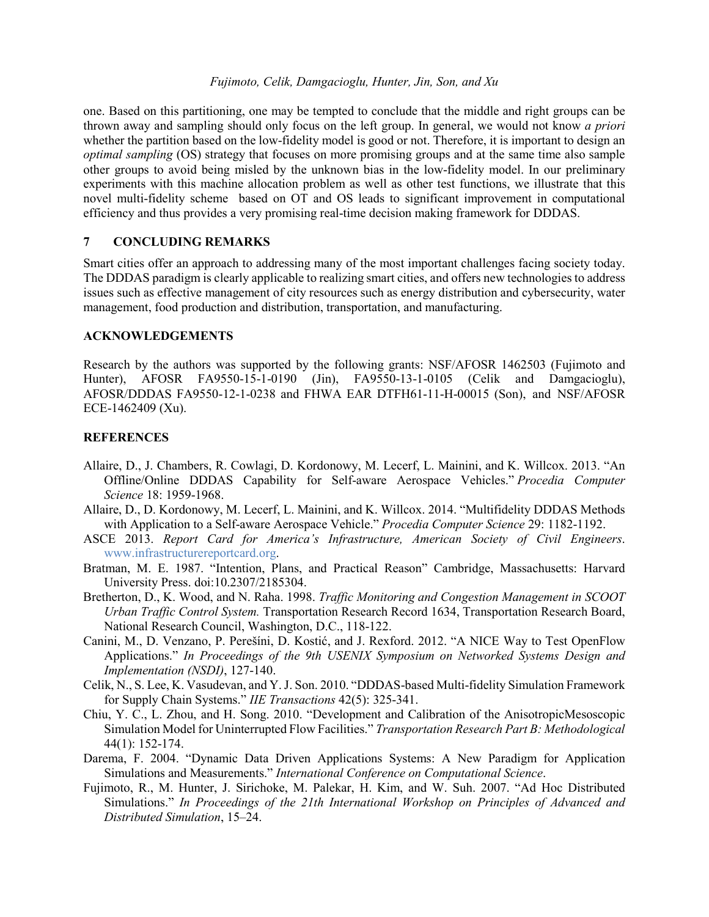one. Based on this partitioning, one may be tempted to conclude that the middle and right groups can be thrown away and sampling should only focus on the left group. In general, we would not know *a priori* whether the partition based on the low-fidelity model is good or not. Therefore, it is important to design an *optimal sampling* (OS) strategy that focuses on more promising groups and at the same time also sample other groups to avoid being misled by the unknown bias in the low-fidelity model. In our preliminary experiments with this machine allocation problem as well as other test functions, we illustrate that this novel multi-fidelity scheme based on OT and OS leads to significant improvement in computational efficiency and thus provides a very promising real-time decision making framework for DDDAS.

# **7 CONCLUDING REMARKS**

Smart cities offer an approach to addressing many of the most important challenges facing society today. The DDDAS paradigm is clearly applicable to realizing smart cities, and offers new technologies to address issues such as effective management of city resources such as energy distribution and cybersecurity, water management, food production and distribution, transportation, and manufacturing.

### **ACKNOWLEDGEMENTS**

Research by the authors was supported by the following grants: NSF/AFOSR 1462503 (Fujimoto and Hunter), AFOSR FA9550-15-1-0190 (Jin), FA9550-13-1-0105 (Celik and Damgacioglu), AFOSR/DDDAS FA9550-12-1-0238 and FHWA EAR DTFH61-11-H-00015 (Son), and NSF/AFOSR ECE-1462409 (Xu).

#### **REFERENCES**

- Allaire, D., J. Chambers, R. Cowlagi, D. Kordonowy, M. Lecerf, L. Mainini, and K. Willcox. 2013. "An Offline/Online DDDAS Capability for Self-aware Aerospace Vehicles." *Procedia Computer Science* 18: 1959-1968.
- Allaire, D., D. Kordonowy, M. Lecerf, L. Mainini, and K. Willcox. 2014. "Multifidelity DDDAS Methods with Application to a Self-aware Aerospace Vehicle." *Procedia Computer Science* 29: 1182-1192.
- ASCE 2013. *Report Card for America's Infrastructure, American Society of Civil Engineers*. www.infrastructurereportcard.org.
- Bratman, M. E. 1987. "Intention, Plans, and Practical Reason" Cambridge, Massachusetts: Harvard University Press. doi:10.2307/2185304.
- Bretherton, D., K. Wood, and N. Raha. 1998. *Traffic Monitoring and Congestion Management in SCOOT Urban Traffic Control System.* Transportation Research Record 1634, Transportation Research Board, National Research Council, Washington, D.C., 118-122.
- Canini, M., D. Venzano, P. Perešíni, D. Kostić, and J. Rexford. 2012. "A NICE Way to Test OpenFlow Applications." *In Proceedings of the 9th USENIX Symposium on Networked Systems Design and Implementation (NSDI)*, 127-140.
- Celik, N., S. Lee, K. Vasudevan, and Y. J. Son. 2010. "DDDAS-based Multi-fidelity Simulation Framework for Supply Chain Systems." *IIE Transactions* 42(5): 325-341.
- Chiu, Y. C., L. Zhou, and H. Song. 2010. "Development and Calibration of the AnisotropicMesoscopic Simulation Model for Uninterrupted Flow Facilities." *Transportation Research Part B: Methodological* 44(1): 152-174.
- Darema, F. 2004. "Dynamic Data Driven Applications Systems: A New Paradigm for Application Simulations and Measurements." *International Conference on Computational Science*.
- Fujimoto, R., M. Hunter, J. Sirichoke, M. Palekar, H. Kim, and W. Suh. 2007. "Ad Hoc Distributed Simulations." *In Proceedings of the 21th International Workshop on Principles of Advanced and Distributed Simulation*, 15–24.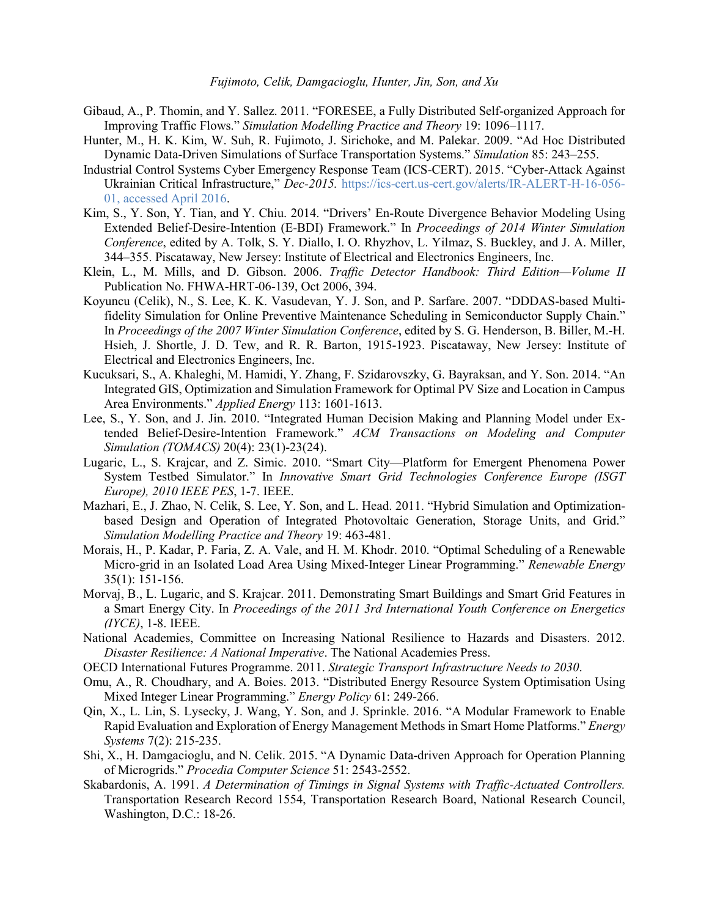- Gibaud, A., P. Thomin, and Y. Sallez. 2011. "FORESEE, a Fully Distributed Self-organized Approach for Improving Traffic Flows." *Simulation Modelling Practice and Theory* 19: 1096–1117.
- Hunter, M., H. K. Kim, W. Suh, R. Fujimoto, J. Sirichoke, and M. Palekar. 2009. "Ad Hoc Distributed Dynamic Data-Driven Simulations of Surface Transportation Systems." *Simulation* 85: 243–255.
- Industrial Control Systems Cyber Emergency Response Team (ICS-CERT). 2015. "Cyber-Attack Against Ukrainian Critical Infrastructure," *Dec-2015.* https://ics-cert.us-cert.gov/alerts/IR-ALERT-H-16-056- 01, accessed April 2016.
- Kim, S., Y. Son, Y. Tian, and Y. Chiu. 2014. "Drivers' En-Route Divergence Behavior Modeling Using Extended Belief-Desire-Intention (E-BDI) Framework." In *Proceedings of 2014 Winter Simulation Conference*, edited by A. Tolk, S. Y. Diallo, I. O. Rhyzhov, L. Yilmaz, S. Buckley, and J. A. Miller, 344–355. Piscataway, New Jersey: Institute of Electrical and Electronics Engineers, Inc.
- Klein, L., M. Mills, and D. Gibson. 2006. *Traffic Detector Handbook: Third Edition—Volume II*  Publication No. FHWA-HRT-06-139, Oct 2006, 394.
- Koyuncu (Celik), N., S. Lee, K. K. Vasudevan, Y. J. Son, and P. Sarfare. 2007. "DDDAS-based Multifidelity Simulation for Online Preventive Maintenance Scheduling in Semiconductor Supply Chain." In *Proceedings of the 2007 Winter Simulation Conference*, edited by S. G. Henderson, B. Biller, M.-H. Hsieh, J. Shortle, J. D. Tew, and R. R. Barton, 1915-1923. Piscataway, New Jersey: Institute of Electrical and Electronics Engineers, Inc.
- Kucuksari, S., A. Khaleghi, M. Hamidi, Y. Zhang, F. Szidarovszky, G. Bayraksan, and Y. Son. 2014. "An Integrated GIS, Optimization and Simulation Framework for Optimal PV Size and Location in Campus Area Environments." *Applied Energy* 113: 1601-1613.
- Lee, S., Y. Son, and J. Jin. 2010. "Integrated Human Decision Making and Planning Model under Extended Belief-Desire-Intention Framework." *ACM Transactions on Modeling and Computer Simulation (TOMACS)* 20(4): 23(1)-23(24).
- Lugaric, L., S. Krajcar, and Z. Simic. 2010. "Smart City—Platform for Emergent Phenomena Power System Testbed Simulator." In *Innovative Smart Grid Technologies Conference Europe (ISGT Europe), 2010 IEEE PES*, 1-7. IEEE.
- Mazhari, E., J. Zhao, N. Celik, S. Lee, Y. Son, and L. Head. 2011. "Hybrid Simulation and Optimizationbased Design and Operation of Integrated Photovoltaic Generation, Storage Units, and Grid." *Simulation Modelling Practice and Theory* 19: 463-481.
- Morais, H., P. Kadar, P. Faria, Z. A. Vale, and H. M. Khodr. 2010. "Optimal Scheduling of a Renewable Micro-grid in an Isolated Load Area Using Mixed-Integer Linear Programming." *Renewable Energy* 35(1): 151-156.
- Morvaj, B., L. Lugaric, and S. Krajcar. 2011. Demonstrating Smart Buildings and Smart Grid Features in a Smart Energy City. In *Proceedings of the 2011 3rd International Youth Conference on Energetics (IYCE)*, 1-8. IEEE.
- National Academies, Committee on Increasing National Resilience to Hazards and Disasters. 2012. *Disaster Resilience: A National Imperative*. The National Academies Press.
- OECD International Futures Programme. 2011. *Strategic Transport Infrastructure Needs to 2030*.
- Omu, A., R. Choudhary, and A. Boies. 2013. "Distributed Energy Resource System Optimisation Using Mixed Integer Linear Programming." *Energy Policy* 61: 249-266.
- Qin, X., L. Lin, S. Lysecky, J. Wang, Y. Son, and J. Sprinkle. 2016. "A Modular Framework to Enable Rapid Evaluation and Exploration of Energy Management Methods in Smart Home Platforms." *Energy Systems* 7(2): 215-235.
- Shi, X., H. Damgacioglu, and N. Celik. 2015. "A Dynamic Data-driven Approach for Operation Planning of Microgrids." *Procedia Computer Science* 51: 2543-2552.
- Skabardonis, A. 1991. *A Determination of Timings in Signal Systems with Traffic-Actuated Controllers.* Transportation Research Record 1554, Transportation Research Board, National Research Council, Washington, D.C.: 18-26.